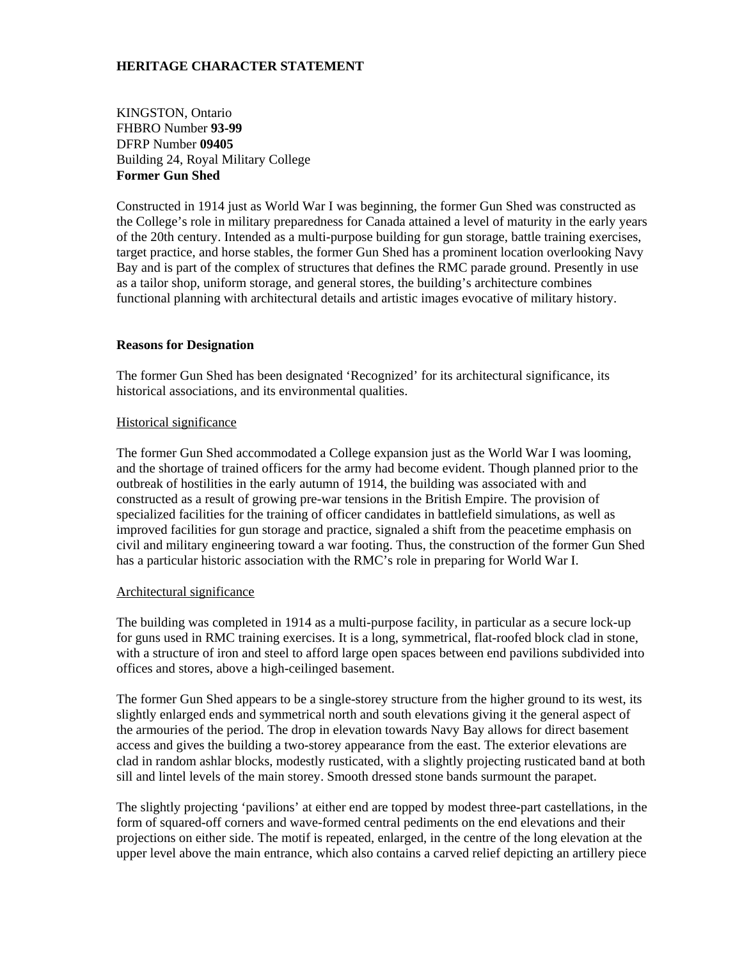# **HERITAGE CHARACTER STATEMENT**

KINGSTON, Ontario FHBRO Number **93-99**  DFRP Number **09405** Building 24, Royal Military College **Former Gun Shed** 

Constructed in 1914 just as World War I was beginning, the former Gun Shed was constructed as the College's role in military preparedness for Canada attained a level of maturity in the early years of the 20th century. Intended as a multi-purpose building for gun storage, battle training exercises, target practice, and horse stables, the former Gun Shed has a prominent location overlooking Navy Bay and is part of the complex of structures that defines the RMC parade ground. Presently in use as a tailor shop, uniform storage, and general stores, the building's architecture combines functional planning with architectural details and artistic images evocative of military history.

### **Reasons for Designation**

The former Gun Shed has been designated 'Recognized' for its architectural significance, its historical associations, and its environmental qualities.

### Historical significance

The former Gun Shed accommodated a College expansion just as the World War I was looming, and the shortage of trained officers for the army had become evident. Though planned prior to the outbreak of hostilities in the early autumn of 1914, the building was associated with and constructed as a result of growing pre-war tensions in the British Empire. The provision of specialized facilities for the training of officer candidates in battlefield simulations, as well as improved facilities for gun storage and practice, signaled a shift from the peacetime emphasis on civil and military engineering toward a war footing. Thus, the construction of the former Gun Shed has a particular historic association with the RMC's role in preparing for World War I.

#### Architectural significance

The building was completed in 1914 as a multi-purpose facility, in particular as a secure lock-up for guns used in RMC training exercises. It is a long, symmetrical, flat-roofed block clad in stone, with a structure of iron and steel to afford large open spaces between end pavilions subdivided into offices and stores, above a high-ceilinged basement.

The former Gun Shed appears to be a single-storey structure from the higher ground to its west, its slightly enlarged ends and symmetrical north and south elevations giving it the general aspect of the armouries of the period. The drop in elevation towards Navy Bay allows for direct basement access and gives the building a two-storey appearance from the east. The exterior elevations are clad in random ashlar blocks, modestly rusticated, with a slightly projecting rusticated band at both sill and lintel levels of the main storey. Smooth dressed stone bands surmount the parapet.

The slightly projecting 'pavilions' at either end are topped by modest three-part castellations, in the form of squared-off corners and wave-formed central pediments on the end elevations and their projections on either side. The motif is repeated, enlarged, in the centre of the long elevation at the upper level above the main entrance, which also contains a carved relief depicting an artillery piece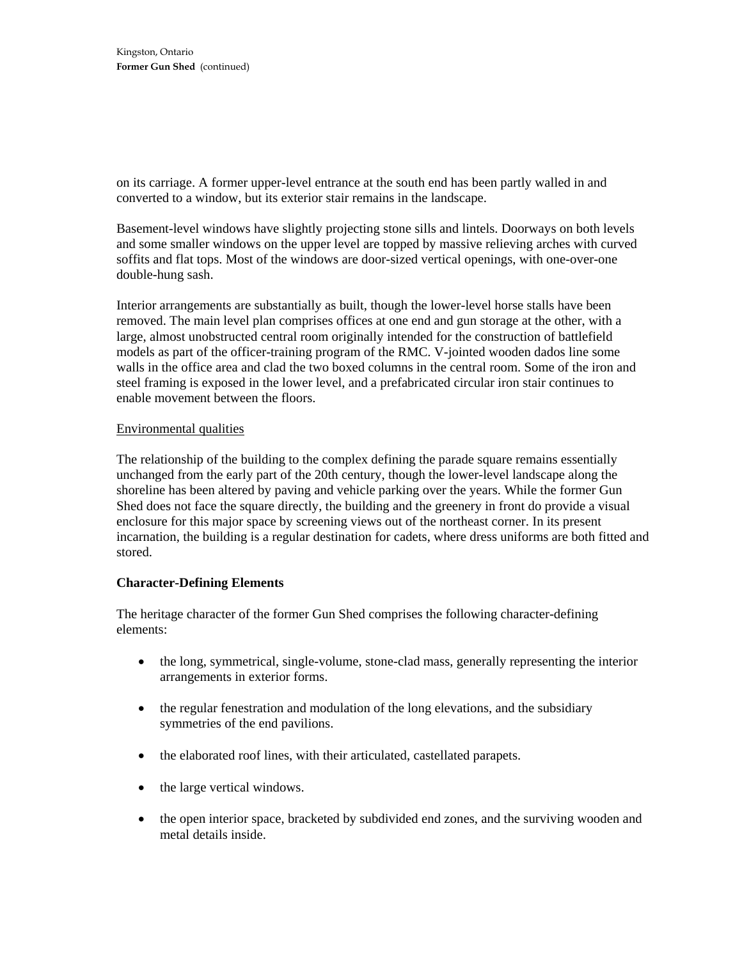on its carriage. A former upper-level entrance at the south end has been partly walled in and converted to a window, but its exterior stair remains in the landscape.

Basement-level windows have slightly projecting stone sills and lintels. Doorways on both levels and some smaller windows on the upper level are topped by massive relieving arches with curved soffits and flat tops. Most of the windows are door-sized vertical openings, with one-over-one double-hung sash.

Interior arrangements are substantially as built, though the lower-level horse stalls have been removed. The main level plan comprises offices at one end and gun storage at the other, with a large, almost unobstructed central room originally intended for the construction of battlefield models as part of the officer-training program of the RMC. V-jointed wooden dados line some walls in the office area and clad the two boxed columns in the central room. Some of the iron and steel framing is exposed in the lower level, and a prefabricated circular iron stair continues to enable movement between the floors.

## Environmental qualities

The relationship of the building to the complex defining the parade square remains essentially unchanged from the early part of the 20th century, though the lower-level landscape along the shoreline has been altered by paving and vehicle parking over the years. While the former Gun Shed does not face the square directly, the building and the greenery in front do provide a visual enclosure for this major space by screening views out of the northeast corner. In its present incarnation, the building is a regular destination for cadets, where dress uniforms are both fitted and stored.

# **Character-Defining Elements**

The heritage character of the former Gun Shed comprises the following character-defining elements:

- the long, symmetrical, single-volume, stone-clad mass, generally representing the interior arrangements in exterior forms.
- the regular fenestration and modulation of the long elevations, and the subsidiary symmetries of the end pavilions.
- the elaborated roof lines, with their articulated, castellated parapets.
- the large vertical windows.
- the open interior space, bracketed by subdivided end zones, and the surviving wooden and metal details inside.